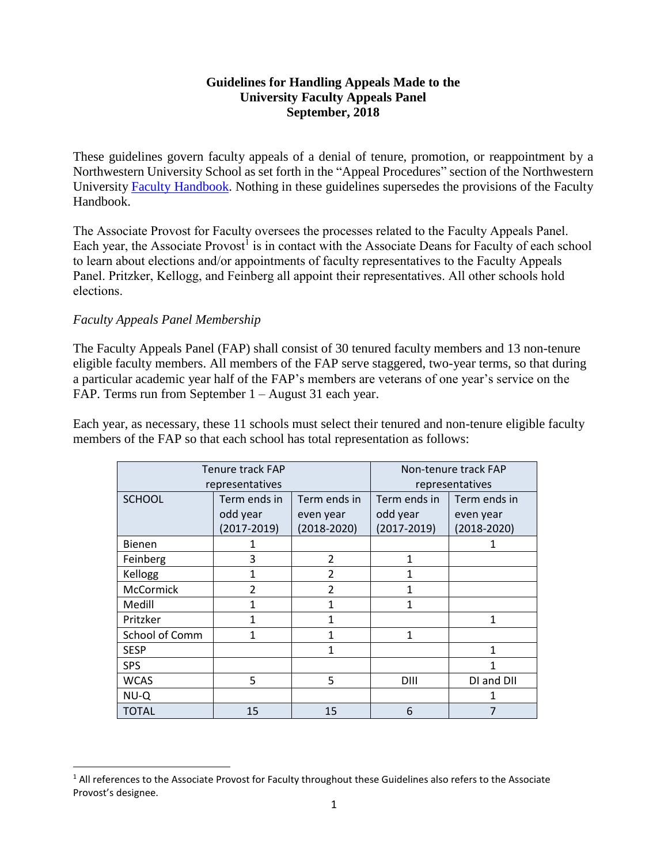## **Guidelines for Handling Appeals Made to the University Faculty Appeals Panel September, 2018**

These guidelines govern faculty appeals of a denial of tenure, promotion, or reappointment by a Northwestern University School as set forth in the "Appeal Procedures" section of the Northwestern University Faculty [Handbook.](https://www.northwestern.edu/provost/docs/faculty_handbook_2018.pdf) Nothing in these guidelines supersedes the provisions of the Faculty Handbook.

The Associate Provost for Faculty oversees the processes related to the Faculty Appeals Panel. Each year, the Associate Provost<sup>1</sup> is in contact with the Associate Deans for Faculty of each school to learn about elections and/or appointments of faculty representatives to the Faculty Appeals Panel. Pritzker, Kellogg, and Feinberg all appoint their representatives. All other schools hold elections.

## *Faculty Appeals Panel Membership*

 $\ddot{\phantom{a}}$ 

The Faculty Appeals Panel (FAP) shall consist of 30 tenured faculty members and 13 non-tenure eligible faculty members. All members of the FAP serve staggered, two-year terms, so that during a particular academic year half of the FAP's members are veterans of one year's service on the FAP. Terms run from September 1 – August 31 each year.

Each year, as necessary, these 11 schools must select their tenured and non-tenure eligible faculty members of the FAP so that each school has total representation as follows:

| Tenure track FAP |                 |                 | Non-tenure track FAP |                 |
|------------------|-----------------|-----------------|----------------------|-----------------|
| representatives  |                 |                 | representatives      |                 |
| <b>SCHOOL</b>    | Term ends in    | Term ends in    | Term ends in         | Term ends in    |
|                  | odd year        | even year       | odd year             | even year       |
|                  | $(2017 - 2019)$ | $(2018 - 2020)$ | $(2017 - 2019)$      | $(2018 - 2020)$ |
| <b>Bienen</b>    | 1               |                 |                      |                 |
| Feinberg         | 3               | $\mathcal{P}$   | 1                    |                 |
| Kellogg          | 1               | $\mathfrak{p}$  | 1                    |                 |
| McCormick        | 2               | 2               | $\mathbf{1}$         |                 |
| Medill           |                 | 1               | 1                    |                 |
| Pritzker         |                 | 1               |                      | 1               |
| School of Comm   | 1               | 1               | 1                    |                 |
| <b>SESP</b>      |                 | 1               |                      | 1               |
| <b>SPS</b>       |                 |                 |                      |                 |
| <b>WCAS</b>      | 5               | 5               | DIII                 | DI and DII      |
| NU-Q             |                 |                 |                      |                 |
| <b>TOTAL</b>     | 15              | 15              | 6                    |                 |

<sup>&</sup>lt;sup>1</sup> All references to the Associate Provost for Faculty throughout these Guidelines also refers to the Associate Provost's designee.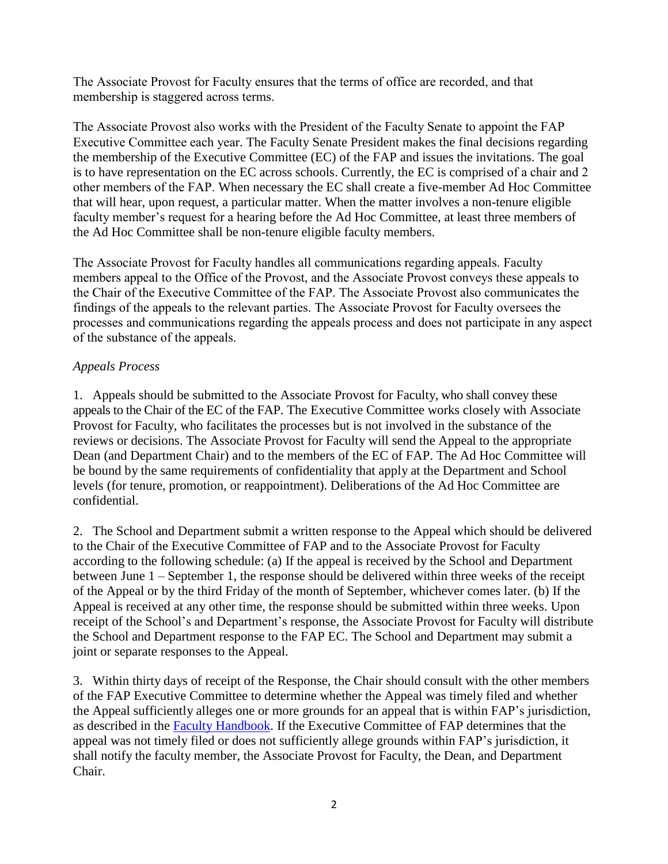The Associate Provost for Faculty ensures that the terms of office are recorded, and that membership is staggered across terms.

The Associate Provost also works with the President of the Faculty Senate to appoint the FAP Executive Committee each year. The Faculty Senate President makes the final decisions regarding the membership of the Executive Committee (EC) of the FAP and issues the invitations. The goal is to have representation on the EC across schools. Currently, the EC is comprised of a chair and 2 other members of the FAP. When necessary the EC shall create a five-member Ad Hoc Committee that will hear, upon request, a particular matter. When the matter involves a non-tenure eligible faculty member's request for a hearing before the Ad Hoc Committee, at least three members of the Ad Hoc Committee shall be non-tenure eligible faculty members.

The Associate Provost for Faculty handles all communications regarding appeals. Faculty members appeal to the Office of the Provost, and the Associate Provost conveys these appeals to the Chair of the Executive Committee of the FAP. The Associate Provost also communicates the findings of the appeals to the relevant parties. The Associate Provost for Faculty oversees the processes and communications regarding the appeals process and does not participate in any aspect of the substance of the appeals.

## *Appeals Process*

1. Appeals should be submitted to the Associate Provost for Faculty, who shall convey these appeals to the Chair of the EC of the FAP. The Executive Committee works closely with Associate Provost for Faculty, who facilitates the processes but is not involved in the substance of the reviews or decisions. The Associate Provost for Faculty will send the Appeal to the appropriate Dean (and Department Chair) and to the members of the EC of FAP. The Ad Hoc Committee will be bound by the same requirements of confidentiality that apply at the Department and School levels (for tenure, promotion, or reappointment). Deliberations of the Ad Hoc Committee are confidential.

2. The School and Department submit a written response to the Appeal which should be delivered to the Chair of the Executive Committee of FAP and to the Associate Provost for Faculty according to the following schedule: (a) If the appeal is received by the School and Department between June 1 – September 1, the response should be delivered within three weeks of the receipt of the Appeal or by the third Friday of the month of September, whichever comes later. (b) If the Appeal is received at any other time, the response should be submitted within three weeks. Upon receipt of the School's and Department's response, the Associate Provost for Faculty will distribute the School and Department response to the FAP EC. The School and Department may submit a joint or separate responses to the Appeal.

3. Within thirty days of receipt of the Response, the Chair should consult with the other members of the FAP Executive Committee to determine whether the Appeal was timely filed and whether the Appeal sufficiently alleges one or more grounds for an appeal that is within FAP's jurisdiction, as described in the Faculty [Handbook.](https://www.northwestern.edu/provost/docs/faculty_handbook_2018.pdf) If the Executive Committee of FAP determines that the appeal was not timely filed or does not sufficiently allege grounds within FAP's jurisdiction, it shall notify the faculty member, the Associate Provost for Faculty, the Dean, and Department Chair.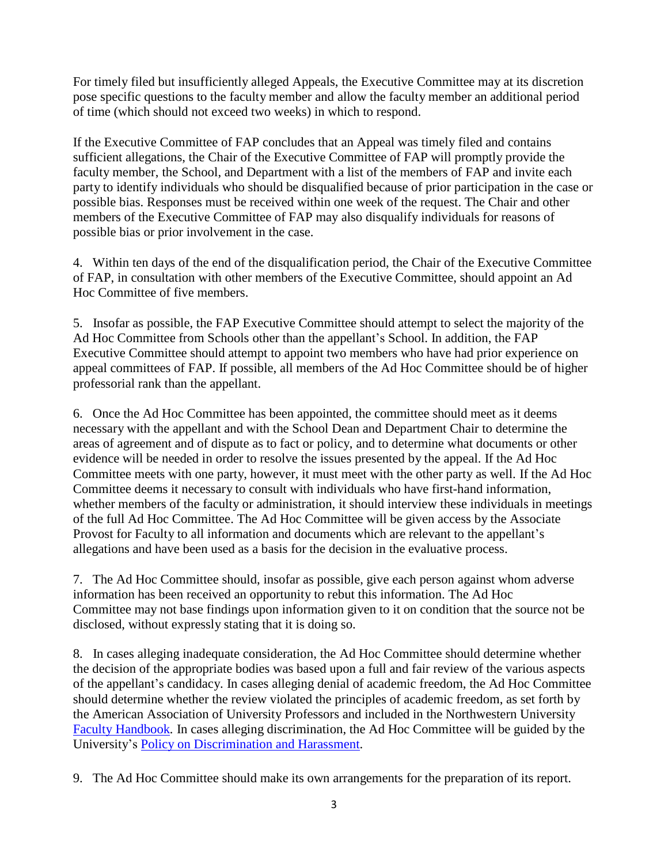For timely filed but insufficiently alleged Appeals, the Executive Committee may at its discretion pose specific questions to the faculty member and allow the faculty member an additional period of time (which should not exceed two weeks) in which to respond.

If the Executive Committee of FAP concludes that an Appeal was timely filed and contains sufficient allegations, the Chair of the Executive Committee of FAP will promptly provide the faculty member, the School, and Department with a list of the members of FAP and invite each party to identify individuals who should be disqualified because of prior participation in the case or possible bias. Responses must be received within one week of the request. The Chair and other members of the Executive Committee of FAP may also disqualify individuals for reasons of possible bias or prior involvement in the case.

4. Within ten days of the end of the disqualification period, the Chair of the Executive Committee of FAP, in consultation with other members of the Executive Committee, should appoint an Ad Hoc Committee of five members.

5. Insofar as possible, the FAP Executive Committee should attempt to select the majority of the Ad Hoc Committee from Schools other than the appellant's School. In addition, the FAP Executive Committee should attempt to appoint two members who have had prior experience on appeal committees of FAP. If possible, all members of the Ad Hoc Committee should be of higher professorial rank than the appellant.

6. Once the Ad Hoc Committee has been appointed, the committee should meet as it deems necessary with the appellant and with the School Dean and Department Chair to determine the areas of agreement and of dispute as to fact or policy, and to determine what documents or other evidence will be needed in order to resolve the issues presented by the appeal. If the Ad Hoc Committee meets with one party, however, it must meet with the other party as well. If the Ad Hoc Committee deems it necessary to consult with individuals who have first-hand information, whether members of the faculty or administration, it should interview these individuals in meetings of the full Ad Hoc Committee. The Ad Hoc Committee will be given access by the Associate Provost for Faculty to all information and documents which are relevant to the appellant's allegations and have been used as a basis for the decision in the evaluative process.

7. The Ad Hoc Committee should, insofar as possible, give each person against whom adverse information has been received an opportunity to rebut this information. The Ad Hoc Committee may not base findings upon information given to it on condition that the source not be disclosed, without expressly stating that it is doing so.

8. In cases alleging inadequate consideration, the Ad Hoc Committee should determine whether the decision of the appropriate bodies was based upon a full and fair review of the various aspects of the appellant's candidacy. In cases alleging denial of academic freedom, the Ad Hoc Committee should determine whether the review violated the principles of academic freedom, as set forth by the American Association of University Professors and included in the Northwestern University Faculty [Handbook](https://www.northwestern.edu/provost/docs/faculty_handbook_2018.pdf)*.* In cases alleging discrimination, the Ad Hoc Committee will be guided by the University's [Policy on Discrimination and Harassment.](https://www.northwestern.edu/equal-opportunity-access/policies/policy-discrimination-harassment.html)

9. The Ad Hoc Committee should make its own arrangements for the preparation of its report.